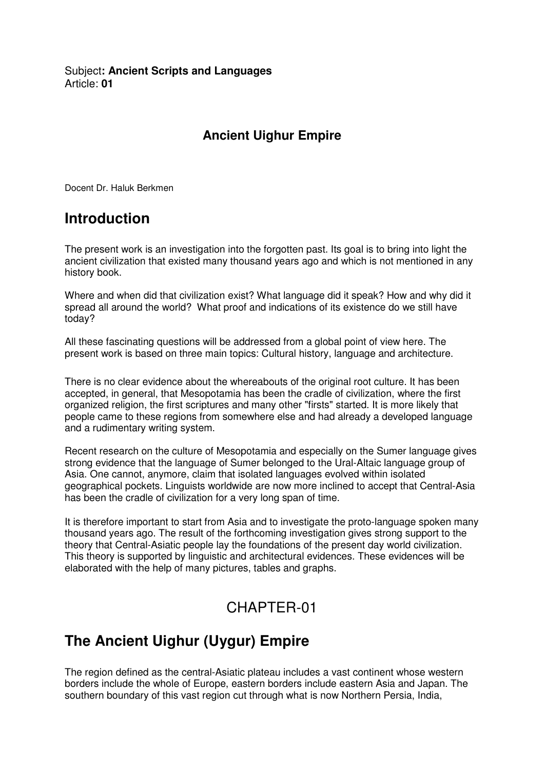Subject**: Ancient Scripts and Languages**  Article: **01** 

#### **Ancient Uighur Empire**

Docent Dr. Haluk Berkmen

## **Introduction**

The present work is an investigation into the forgotten past. Its goal is to bring into light the ancient civilization that existed many thousand years ago and which is not mentioned in any history book.

Where and when did that civilization exist? What language did it speak? How and why did it spread all around the world? What proof and indications of its existence do we still have today?

All these fascinating questions will be addressed from a global point of view here. The present work is based on three main topics: Cultural history, language and architecture.

There is no clear evidence about the whereabouts of the original root culture. It has been accepted, in general, that Mesopotamia has been the cradle of civilization, where the first organized religion, the first scriptures and many other "firsts" started. It is more likely that people came to these regions from somewhere else and had already a developed language and a rudimentary writing system.

Recent research on the culture of Mesopotamia and especially on the Sumer language gives strong evidence that the language of Sumer belonged to the Ural-Altaic language group of Asia. One cannot, anymore, claim that isolated languages evolved within isolated geographical pockets. Linguists worldwide are now more inclined to accept that Central-Asia has been the cradle of civilization for a very long span of time.

It is therefore important to start from Asia and to investigate the proto-language spoken many thousand years ago. The result of the forthcoming investigation gives strong support to the theory that Central-Asiatic people lay the foundations of the present day world civilization. This theory is supported by linguistic and architectural evidences. These evidences will be elaborated with the help of many pictures, tables and graphs.

### CHAPTER-01

# **The Ancient Uighur (Uygur) Empire**

The region defined as the central-Asiatic plateau includes a vast continent whose western borders include the whole of Europe, eastern borders include eastern Asia and Japan. The southern boundary of this vast region cut through what is now Northern Persia, India,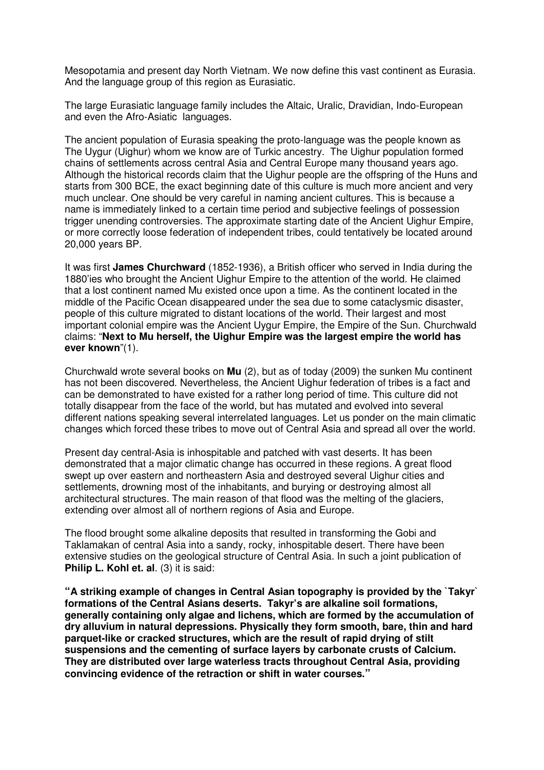Mesopotamia and present day North Vietnam. We now define this vast continent as Eurasia. And the language group of this region as Eurasiatic.

The large Eurasiatic language family includes the Altaic, Uralic, Dravidian, Indo-European and even the Afro-Asiatic languages.

The ancient population of Eurasia speaking the proto-language was the people known as The Uygur (Uighur) whom we know are of Turkic ancestry. The Uighur population formed chains of settlements across central Asia and Central Europe many thousand years ago. Although the historical records claim that the Uighur people are the offspring of the Huns and starts from 300 BCE, the exact beginning date of this culture is much more ancient and very much unclear. One should be very careful in naming ancient cultures. This is because a name is immediately linked to a certain time period and subjective feelings of possession trigger unending controversies. The approximate starting date of the Ancient Uighur Empire, or more correctly loose federation of independent tribes, could tentatively be located around 20,000 years BP.

It was first **James Churchward** (1852-1936), a British officer who served in India during the 1880'ies who brought the Ancient Uighur Empire to the attention of the world. He claimed that a lost continent named Mu existed once upon a time. As the continent located in the middle of the Pacific Ocean disappeared under the sea due to some cataclysmic disaster, people of this culture migrated to distant locations of the world. Their largest and most important colonial empire was the Ancient Uygur Empire, the Empire of the Sun. Churchwald claims: "**Next to Mu herself, the Uighur Empire was the largest empire the world has ever known**"(1).

Churchwald wrote several books on **Mu** (2), but as of today (2009) the sunken Mu continent has not been discovered. Nevertheless, the Ancient Uighur federation of tribes is a fact and can be demonstrated to have existed for a rather long period of time. This culture did not totally disappear from the face of the world, but has mutated and evolved into several different nations speaking several interrelated languages. Let us ponder on the main climatic changes which forced these tribes to move out of Central Asia and spread all over the world.

Present day central-Asia is inhospitable and patched with vast deserts. It has been demonstrated that a major climatic change has occurred in these regions. A great flood swept up over eastern and northeastern Asia and destroyed several Uighur cities and settlements, drowning most of the inhabitants, and burying or destroying almost all architectural structures. The main reason of that flood was the melting of the glaciers, extending over almost all of northern regions of Asia and Europe.

The flood brought some alkaline deposits that resulted in transforming the Gobi and Taklamakan of central Asia into a sandy, rocky, inhospitable desert. There have been extensive studies on the geological structure of Central Asia. In such a joint publication of **Philip L. Kohl et. al**. (3) it is said:

**"A striking example of changes in Central Asian topography is provided by the `Takyr` formations of the Central Asians deserts. Takyr's are alkaline soil formations, generally containing only algae and lichens, which are formed by the accumulation of dry alluvium in natural depressions. Physically they form smooth, bare, thin and hard parquet-like or cracked structures, which are the result of rapid drying of stilt suspensions and the cementing of surface layers by carbonate crusts of Calcium. They are distributed over large waterless tracts throughout Central Asia, providing convincing evidence of the retraction or shift in water courses."**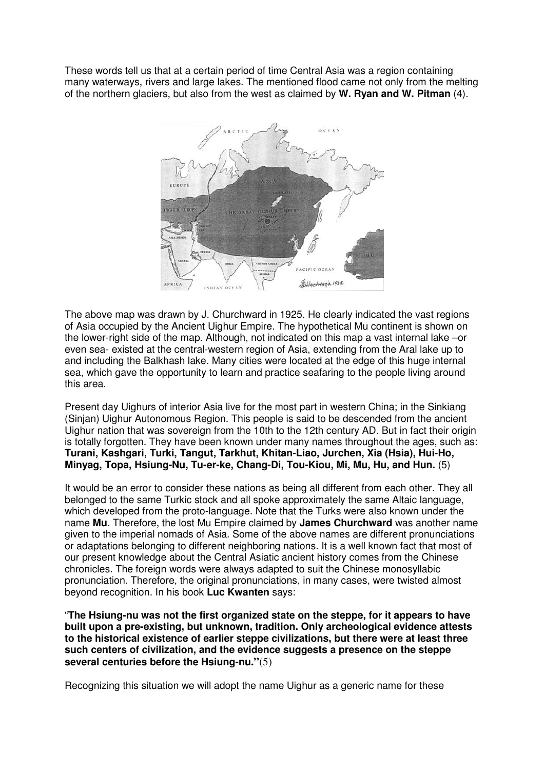These words tell us that at a certain period of time Central Asia was a region containing many waterways, rivers and large lakes. The mentioned flood came not only from the melting of the northern glaciers, but also from the west as claimed by **W. Ryan and W. Pitman** (4).



The above map was drawn by J. Churchward in 1925. He clearly indicated the vast regions of Asia occupied by the Ancient Uighur Empire. The hypothetical Mu continent is shown on the lower-right side of the map. Although, not indicated on this map a vast internal lake –or even sea- existed at the central-western region of Asia, extending from the Aral lake up to and including the Balkhash lake. Many cities were located at the edge of this huge internal sea, which gave the opportunity to learn and practice seafaring to the people living around this area.

Present day Uighurs of interior Asia live for the most part in western China; in the Sinkiang (Sinjan) Uighur Autonomous Region. This people is said to be descended from the ancient Uighur nation that was sovereign from the 10th to the 12th century AD. But in fact their origin is totally forgotten. They have been known under many names throughout the ages, such as: **Turani, Kashgari, Turki, Tangut, Tarkhut, Khitan-Liao, Jurchen, Xia (Hsia), Hui-Ho, Minyag, Topa, Hsiung-Nu, Tu-er-ke, Chang-Di, Tou-Kiou, Mi, Mu, Hu, and Hun.** (5)

It would be an error to consider these nations as being all different from each other. They all belonged to the same Turkic stock and all spoke approximately the same Altaic language, which developed from the proto-language. Note that the Turks were also known under the name **Mu**. Therefore, the lost Mu Empire claimed by **James Churchward** was another name given to the imperial nomads of Asia. Some of the above names are different pronunciations or adaptations belonging to different neighboring nations. It is a well known fact that most of our present knowledge about the Central Asiatic ancient history comes from the Chinese chronicles. The foreign words were always adapted to suit the Chinese monosyllabic pronunciation. Therefore, the original pronunciations, in many cases, were twisted almost beyond recognition. In his book **Luc Kwanten** says:

"**The Hsiung-nu was not the first organized state on the steppe, for it appears to have built upon a pre-existing, but unknown, tradition. Only archeological evidence attests to the historical existence of earlier steppe civilizations, but there were at least three such centers of civilization, and the evidence suggests a presence on the steppe several centuries before the Hsiung-nu."**(5)

Recognizing this situation we will adopt the name Uighur as a generic name for these